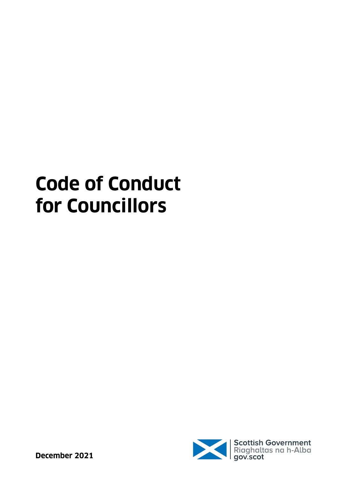# **Code of Conduct for Councillors**

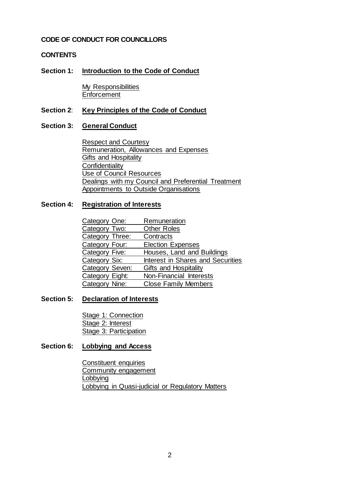### **CODE OF CONDUCT FOR COUNCILLORS**

### **CONTENTS**

#### **Section 1: [Introduction to the Code of](#page-3-0) Conduct**

[My Responsibilities](#page-3-1) **[Enforcement](#page-4-0)** 

#### **Section 2**: **[Key Principles of the Code of Conduct](#page-5-0)**

#### **Section 3: [General Conduct](#page-7-0)**

[Respect and Courtesy](#page-7-1) [Remuneration, Allowances and Expenses](#page-8-0) [Gifts and Hospitality](#page-8-1) **[Confidentiality](#page-9-0)** [Use of Council Resources](#page-9-1) [Dealings with my Council and Preferential Treatment](#page-9-2) [Appointments to Outside Organisations](#page-10-0)

#### **Section 4: [Registration of](#page-11-0) Interests**

| Category One:   | Remuneration                      |
|-----------------|-----------------------------------|
| Category Two:   | <b>Other Roles</b>                |
| Category Three: | Contracts                         |
| Category Four:  | <b>Election Expenses</b>          |
| Category Five:  | Houses, Land and Buildings        |
| Category Six:   | Interest in Shares and Securities |
| Category Seven: | Gifts and Hospitality             |
| Category Eight: | Non-Financial Interests           |
| Category Nine:  | <b>Close Family Members</b>       |

#### **Section 5: [Declaration of Interests](#page-14-0)**

[Stage 1: Connection](#page-14-1) [Stage 2: Interest](#page-14-2) [Stage 3: Participation](#page-14-3)

#### **Section 6: [Lobbying and Access](#page-16-0)**

[Constituent enquiries](#page-16-1) [Community engagement](#page-16-2) [Lobbying](#page-16-3) [Lobbying in Quasi-judicial or Regulatory Matters](#page-16-4)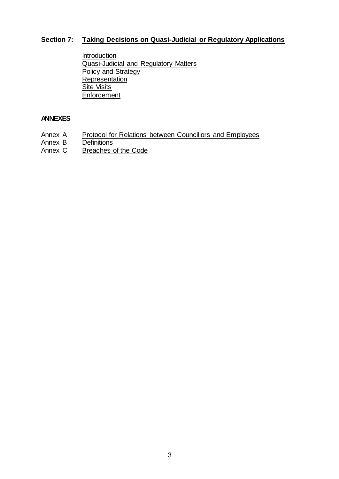# **Section 7: [Taking Decisions on Quasi-Judicial or Regulatory Applications](#page-18-0)**

[Introduction](#page-18-1) [Quasi-Judicial and Regulatory Matters](#page-18-2) [Policy and Strategy](#page-19-0) [Representation](#page-20-0) [Site Visits](#page-21-0) **[Enforcement](#page-22-0)** 

# **ANNEXES**

- Annex A [Protocol for Relations between Councillors and Employees](#page-23-0)
- Annex B [Definitions](#page-27-0)<br>Annex C Breaches
- [Breaches of the Code](#page-29-0)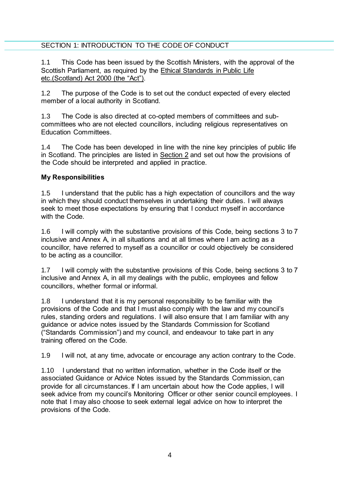# <span id="page-3-0"></span>SECTION 1: INTRODUCTION TO THE CODE OF CONDUCT

1.1 This Code has been issued by the Scottish Ministers, with the approval of the Scottish Parliament, as required by the [Ethical Standards in Public Life](https://www.legislation.gov.uk/asp/2000/7/contents)  [etc.\(Scotland\) Act](https://www.legislation.gov.uk/asp/2000/7/contents) 2000 (the "Act").

1.2 The purpose of the Code is to set out the conduct expected of every elected member of a local authority in Scotland.

1.3 The Code is also directed at co-opted members of committees and subcommittees who are not elected councillors, including religious representatives on Education Committees.

1.4 The Code has been developed in line with the nine key principles of public life in Scotland. The principles are listed in [Section 2](#page-5-0) and set out how the provisions of the Code should be interpreted and applied in practice.

# <span id="page-3-1"></span>**My Responsibilities**

1.5 I understand that the public has a high expectation of councillors and the way in which they should conduct themselves in undertaking their duties. I will always seek to meet those expectations by ensuring that I conduct myself in accordance with the Code.

1.6 I will comply with the substantive provisions of this Code, being sections 3 to 7 inclusive and Annex A, in all situations and at all times where I am acting as a councillor, have referred to myself as a councillor or could objectively be considered to be acting as a councillor.

1.7 I will comply with the substantive provisions of this Code, being sections 3 to 7 inclusive and Annex A, in all my dealings with the public, employees and fellow councillors, whether formal or informal.

1.8 I understand that it is my personal responsibility to be familiar with the provisions of the Code and that I must also comply with the law and my council's rules, standing orders and regulations. I will also ensure that I am familiar with any guidance or advice notes issued by the Standards Commission for Scotland ("Standards Commission") and my council, and endeavour to take part in any training offered on the Code.

1.9 I will not, at any time, advocate or encourage any action contrary to the Code.

1.10 I understand that no written information, whether in the Code itself or the associated Guidance or Advice Notes issued by the Standards Commission, can provide for all circumstances. If I am uncertain about how the Code applies, I will seek advice from my council's Monitoring Officer or other senior council employees. I note that I may also choose to seek external legal advice on how to interpret the provisions of the Code.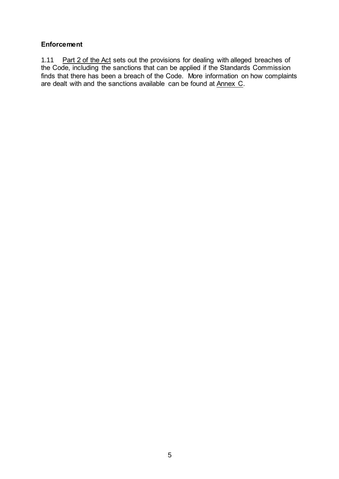# <span id="page-4-0"></span>**Enforcement**

1.11 [Part 2 of the](https://www.legislation.gov.uk/asp/2000/7/part/2) Ac[t](https://www.legislation.gov.uk/asp/2000/7/part/2) sets out the provisions for dealing with alleged breaches of the Code, including the sanctions that can be applied if the Standards Commission finds that there has been a breach of the Code. More information on how complaints are dealt with and the sanctions available can be found at [Annex C.](#page-29-0)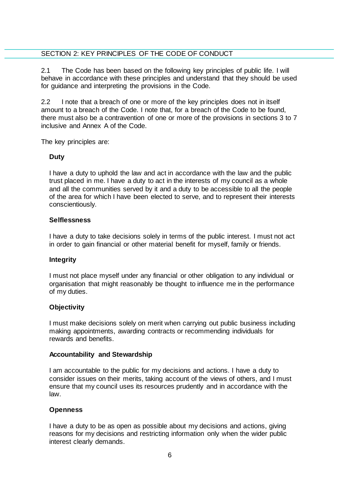# <span id="page-5-0"></span>SECTION 2: KEY PRINCIPLES OF THE CODE OF CONDUCT

2.1 The Code has been based on the following key principles of public life. I will behave in accordance with these principles and understand that they should be used for guidance and interpreting the provisions in the Code.

2.2 I note that a breach of one or more of the key principles does not in itself amount to a breach of the Code. I note that, for a breach of the Code to be found, there must also be a contravention of one or more of the provisions in sections 3 to 7 inclusive and Annex A of the Code.

The key principles are:

# **Duty**

I have a duty to uphold the law and act in accordance with the law and the public trust placed in me. I have a duty to act in the interests of my council as a whole and all the communities served by it and a duty to be accessible to all the people of the area for which I have been elected to serve, and to represent their interests conscientiously.

#### **Selflessness**

I have a duty to take decisions solely in terms of the public interest. I must not act in order to gain financial or other material benefit for myself, family or friends.

#### **Integrity**

I must not place myself under any financial or other obligation to any individual or organisation that might reasonably be thought to influence me in the performance of my duties.

#### **Objectivity**

I must make decisions solely on merit when carrying out public business including making appointments, awarding contracts or recommending individuals for rewards and benefits.

#### **Accountability and Stewardship**

I am accountable to the public for my decisions and actions. I have a duty to consider issues on their merits, taking account of the views of others, and I must ensure that my council uses its resources prudently and in accordance with the law.

#### **Openness**

I have a duty to be as open as possible about my decisions and actions, giving reasons for my decisions and restricting information only when the wider public interest clearly demands.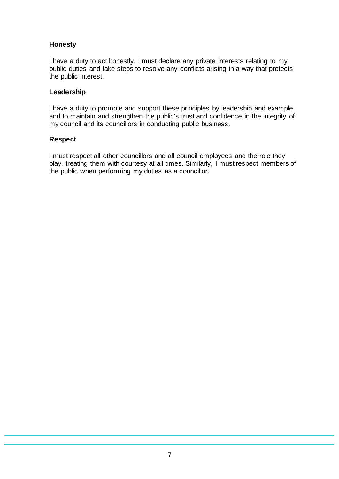# **Honesty**

I have a duty to act honestly. I must declare any private interests relating to my public duties and take steps to resolve any conflicts arising in a way that protects the public interest.

#### **Leadership**

I have a duty to promote and support these principles by leadership and example, and to maintain and strengthen the public's trust and confidence in the integrity of my council and its councillors in conducting public business.

#### **Respect**

I must respect all other councillors and all council employees and the role they play, treating them with courtesy at all times. Similarly, I must respect members of the public when performing my duties as a councillor.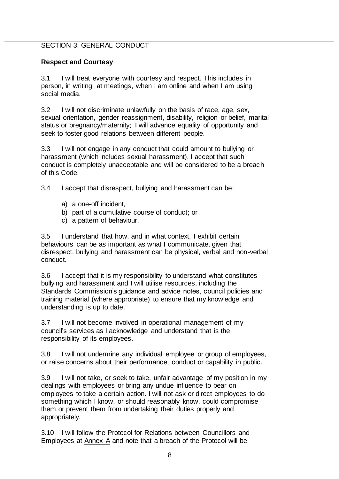#### <span id="page-7-0"></span>SECTION 3: GENERAL CONDUCT

#### <span id="page-7-1"></span>**Respect and Courtesy**

3.1 I will treat everyone with courtesy and respect. This includes in person, in writing, at meetings, when I am online and when I am using social media.

3.2 I will not discriminate unlawfully on the basis of race, age, sex, sexual orientation, gender reassignment, disability, religion or belief, marital status or pregnancy/maternity; I will advance equality of opportunity and seek to foster good relations between different people.

3.3 I will not engage in any conduct that could amount to bullying or harassment (which includes sexual harassment). I accept that such conduct is completely unacceptable and will be considered to be a breach of this Code.

3.4 I accept that disrespect, bullying and harassment can be:

- a) a one-off incident,
- b) part of a cumulative course of conduct; or
- c) a pattern of behaviour.

3.5 I understand that how, and in what context, I exhibit certain behaviours can be as important as what I communicate, given that disrespect, bullying and harassment can be physical, verbal and non-verbal conduct.

3.6 I accept that it is my responsibility to understand what constitutes bullying and harassment and I will utilise resources, including the Standards Commission's guidance and advice notes, council policies and training material (where appropriate) to ensure that my knowledge and understanding is up to date.

3.7 I will not become involved in operational management of my council's services as I acknowledge and understand that is the responsibility of its employees.

3.8 I will not undermine any individual employee or group of employees, or raise concerns about their performance, conduct or capability in public.

3.9 I will not take, or seek to take, unfair advantage of my position in my dealings with employees or bring any undue influence to bear on employees to take a certain action. I will not ask or direct employees to do something which I know, or should reasonably know, could compromise them or prevent them from undertaking their duties properly and appropriately.

3.10 I will follow the Protocol for Relations between Councillors and Employees at [Annex A](#page-23-0) and note that a breach of the Protocol will be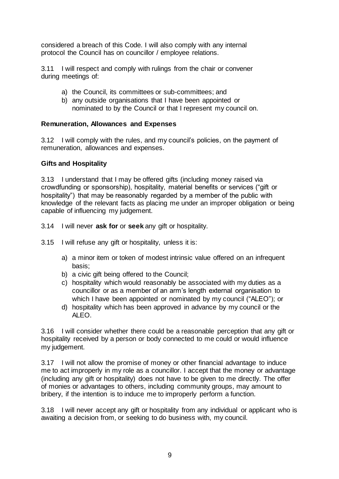considered a breach of this Code. I will also comply with any internal protocol the Council has on councillor / employee relations.

3.11 I will respect and comply with rulings from the chair or convener during meetings of:

- a) the Council, its committees or sub-committees; and
- b) any outside organisations that I have been appointed or nominated to by the Council or that I represent my council on.

# <span id="page-8-0"></span>**Remuneration, Allowances and Expenses**

3.12 I will comply with the rules, and my council's policies, on the payment of remuneration, allowances and expenses.

#### <span id="page-8-1"></span>**Gifts and Hospitality**

<span id="page-8-2"></span>3.13 I understand that I may be offered gifts (including money raised via crowdfunding or sponsorship), hospitality, material benefits or services ("gift or hospitality") that may be reasonably regarded by a member of the public with knowledge of the relevant facts as placing me under an improper obligation or being capable of influencing my judgement.

- 3.14 I will never **ask for** or **seek** any gift or hospitality.
- 3.15 I will refuse any gift or hospitality, unless it is:
	- a) a minor item or token of modest intrinsic value offered on an infrequent basis;
	- b) a civic gift being offered to the Council;
	- c) hospitality which would reasonably be associated with my duties as a councillor or as a member of an arm's length external organisation to which I have been appointed or nominated by my council ("ALEO"); or
	- d) hospitality which has been approved in advance by my council or the ALEO<sup>.</sup>

3.16 I will consider whether there could be a reasonable perception that any gift or hospitality received by a person or body connected to me could or would influence my judgement.

3.17 I will not allow the promise of money or other financial advantage to induce me to act improperly in my role as a councillor. I accept that the money or advantage (including any gift or hospitality) does not have to be given to me directly. The offer of monies or advantages to others, including community groups, may amount to bribery, if the intention is to induce me to improperly perform a function.

3.18 I will never accept any gift or hospitality from any individual or applicant who is awaiting a decision from, or seeking to do business with, my council.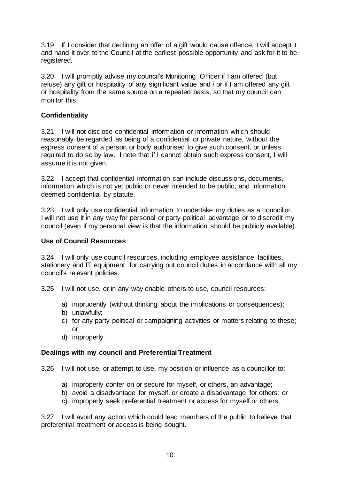3.19 If I consider that declining an offer of a gift would cause offence, I will accept it and hand it over to the Council at the earliest possible opportunity and ask for it to be registered.

3.20 I will promptly advise my council's Monitoring Officer if I am offered (but refuse) any gift or hospitality of any significant value and / or if I am offered any gift or hospitality from the same source on a repeated basis, so that my council can monitor this.

# <span id="page-9-0"></span>**Confidentiality**

3.21 I will not disclose confidential information or information which should reasonably be regarded as being of a confidential or private nature, without the express consent of a person or body authorised to give such consent, or unless required to do so by law. I note that if I cannot obtain such express consent, I will assume it is not given.

3.22 I accept that confidential information can include discussions, documents, information which is not yet public or never intended to be public, and information deemed confidential by statute.

3.23 I will only use confidential information to undertake my duties as a councillor. I will not use it in any way for personal or party-political advantage or to discredit my council (even if my personal view is that the information should be publicly available).

#### <span id="page-9-1"></span>**Use of Council Resources**

3.24 I will only use council resources, including employee assistance, facilities, stationery and IT equipment, for carrying out council duties in accordance with all my council's relevant policies.

3.25 I will not use, or in any way enable others to use, council resources:

- a) imprudently (without thinking about the implications or consequences);
- b) unlawfully;
- c) for any party political or campaigning activities or matters relating to these; or
- d) improperly.

#### <span id="page-9-2"></span>**Dealings with my council and Preferential Treatment**

3.26 I will not use, or attempt to use, my position or influence as a councillor to:

- a) improperly confer on or secure for myself, or others, an advantage;
- b) avoid a disadvantage for myself, or create a disadvantage for others; or
- c) improperly seek preferential treatment or access for myself or others.

3.27 I will avoid any action which could lead members of the public to believe that preferential treatment or access is being sought.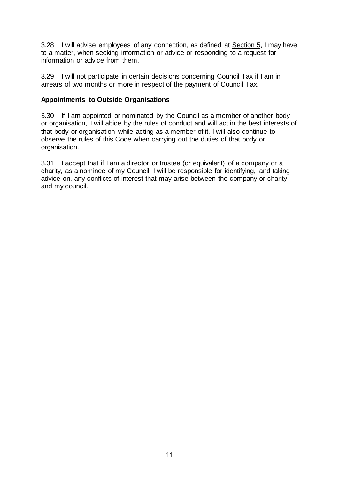3.28 I will advise employees of any connection, as defined at [Section 5,](#page-14-0) I may have to a matter, when seeking information or advice or responding to a request for information or advice from them.

3.29 I will not participate in certain decisions concerning Council Tax if I am in arrears of two months or more in respect of the payment of Council Tax.

# <span id="page-10-0"></span>**Appointments to Outside Organisations**

3.30 If I am appointed or nominated by the Council as a member of another body or organisation, I will abide by the rules of conduct and will act in the best interests of that body or organisation while acting as a member of it. I will also continue to observe the rules of this Code when carrying out the duties of that body or organisation.

3.31 I accept that if I am a director or trustee (or equivalent) of a company or a charity, as a nominee of my Council, I will be responsible for identifying, and taking advice on, any conflicts of interest that may arise between the company or charity and my council.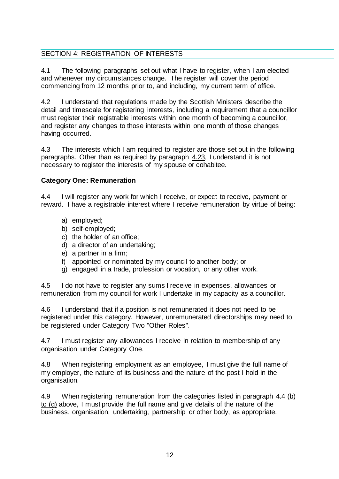# <span id="page-11-0"></span>SECTION 4: REGISTRATION OF INTERESTS

4.1 The following paragraphs set out what I have to register, when I am elected and whenever my circumstances change. The register will cover the period commencing from 12 months prior to, and including, my current term of office.

4.2 I understand that regulations made by the Scottish Ministers describe the detail and timescale for registering interests, including a requirement that a councillor must register their registrable interests within one month of becoming a councillor, and register any changes to those interests within one month of those changes having occurred.

4.3 The interests which I am required to register are those set out in the following paragraphs. Other than as required by paragraph [4.23,](#page-13-4) I understand it is not necessary to register the interests of my spouse or cohabitee.

# <span id="page-11-1"></span>**Category One: Remuneration**

4.4 I will register any work for which I receive, or expect to receive, payment or reward. I have a registrable interest where I receive remuneration by virtue of being:

- a) employed;
- <span id="page-11-2"></span>b) self-employed;
- c) the holder of an office;
- d) a director of an undertaking;
- e) a partner in a firm;
- f) appointed or nominated by my council to another body; or
- g) engaged in a trade, profession or vocation, or any other work.

4.5 I do not have to register any sums I receive in expenses, allowances or remuneration from my council for work I undertake in my capacity as a councillor.

4.6 I understand that if a position is not remunerated it does not need to be registered under this category. However, unremunerated directorships may need to be registered under Category Two "Other Roles".

4.7 I must register any allowances I receive in relation to membership of any organisation under Category One.

4.8 When registering employment as an employee, I must give the full name of my employer, the nature of its business and the nature of the post I hold in the organisation.

4.9 When registering remuneration from the categories listed in paragraph [4.4 \(b\)](#page-11-2)  [to \(g\)](#page-11-2) above, I must provide the full name and give details of the nature of the business, organisation, undertaking, partnership or other body, as appropriate.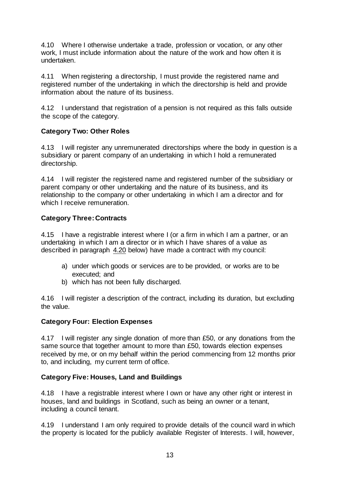4.10 Where I otherwise undertake a trade, profession or vocation, or any other work, I must include information about the nature of the work and how often it is undertaken.

4.11 When registering a directorship, I must provide the registered name and registered number of the undertaking in which the directorship is held and provide information about the nature of its business.

4.12 I understand that registration of a pension is not required as this falls outside the scope of the category.

# <span id="page-12-0"></span>**Category Two: Other Roles**

4.13 I will register any unremunerated directorships where the body in question is a subsidiary or parent company of an undertaking in which I hold a remunerated directorship.

4.14 I will register the registered name and registered number of the subsidiary or parent company or other undertaking and the nature of its business, and its relationship to the company or other undertaking in which I am a director and for which I receive remuneration.

# <span id="page-12-1"></span>**Category Three: Contracts**

4.15 I have a registrable interest where I (or a firm in which I am a partner, or an undertaking in which I am a director or in which I have shares of a value as described in paragraph [4.20](#page-13-5) below) have made a contract with my council:

- a) under which goods or services are to be provided, or works are to be executed; and
- b) which has not been fully discharged.

4.16 I will register a description of the contract, including its duration, but excluding the value.

#### <span id="page-12-2"></span>**Category Four: Election Expenses**

4.17 I will register any single donation of more than £50, or any donations from the same source that together amount to more than £50, towards election expenses received by me, or on my behalf within the period commencing from 12 months prior to, and including, my current term of office.

# <span id="page-12-3"></span>**Category Five: Houses, Land and Buildings**

4.18 I have a registrable interest where I own or have any other right or interest in houses, land and buildings in Scotland, such as being an owner or a tenant, including a council tenant.

4.19 I understand I am only required to provide details of the council ward in which the property is located for the publicly available Register of Interests. I will, however,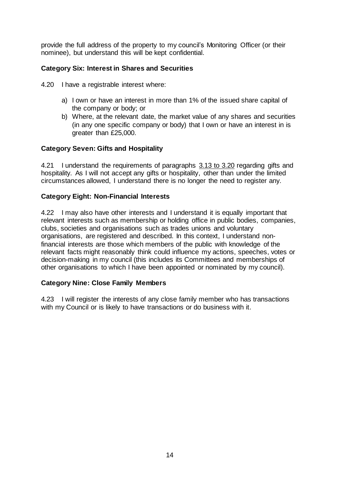provide the full address of the property to my council's Monitoring Officer (or their nominee), but understand this will be kept confidential.

# <span id="page-13-0"></span>**Category Six: Interest in Shares and Securities**

- <span id="page-13-5"></span><span id="page-13-1"></span>4.20 I have a registrable interest where:
	- a) I own or have an interest in more than 1% of the issued share capital of the company or body; or
	- b) Where, at the relevant date, the market value of any shares and securities (in any one specific company or body) that I own or have an interest in is greater than £25,000.

# **Category Seven: Gifts and Hospitality**

4.21 I understand the requirements of paragraphs 3.13 [to 3.20](#page-8-2) regarding gifts and hospitality. As I will not accept any gifts or hospitality, other than under the limited circumstances allowed, I understand there is no longer the need to register any.

# <span id="page-13-2"></span>**Category Eight: Non-Financial Interests**

4.22 I may also have other interests and I understand it is equally important that relevant interests such as membership or holding office in public bodies, companies, clubs, societies and organisations such as trades unions and voluntary organisations, are registered and described. In this context, I understand nonfinancial interests are those which members of the public with knowledge of the relevant facts might reasonably think could influence my actions, speeches, votes or decision-making in my council (this includes its Committees and memberships of other organisations to which I have been appointed or nominated by my council).

# <span id="page-13-3"></span>**Category Nine: Close Family Members**

<span id="page-13-4"></span>4.23 I will register the interests of any close family member who has transactions with my Council or is likely to have transactions or do business with it.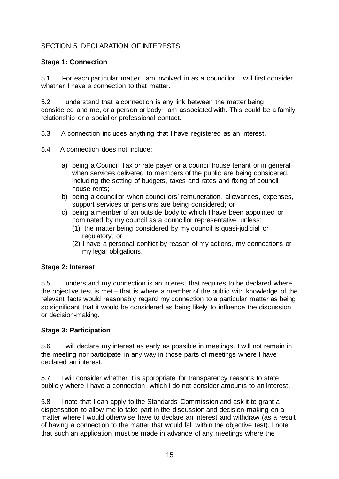# <span id="page-14-0"></span>SECTION 5: DECLARATION OF INTERESTS

#### <span id="page-14-1"></span>**Stage 1: Connection**

5.1 For each particular matter I am involved in as a councillor, I will first consider whether I have a connection to that matter.

5.2 I understand that a connection is any link between the matter being considered and me, or a person or body I am associated with. This could be a family relationship or a social or professional contact.

- 5.3 A connection includes anything that I have registered as an interest.
- 5.4 A connection does not include:
	- a) being a Council Tax or rate payer or a council house tenant or in general when services delivered to members of the public are being considered, including the setting of budgets, taxes and rates and fixing of council house rents;
	- b) being a councillor when councillors' remuneration, allowances, expenses, support services or pensions are being considered; or
	- c) being a member of an outside body to which I have been appointed or nominated by my council as a councillor representative unless:
		- (1) the matter being considered by my council is quasi-judicial or regulatory; or
		- (2) I have a personal conflict by reason of my actions, my connections or my legal obligations.

#### <span id="page-14-2"></span>**Stage 2: Interest**

5.5 I understand my connection is an interest that requires to be declared where the objective test is met – that is where a member of the public with knowledge of the relevant facts would reasonably regard my connection to a particular matter as being so significant that it would be considered as being likely to influence the discussion or decision-making.

#### <span id="page-14-3"></span>**Stage 3: Participation**

5.6 I will declare my interest as early as possible in meetings. I will not remain in the meeting nor participate in any way in those parts of meetings where I have declared an interest.

5.7 I will consider whether it is appropriate for transparency reasons to state publicly where I have a connection, which I do not consider amounts to an interest.

5.8 I note that I can apply to the Standards Commission and ask it to grant a dispensation to allow me to take part in the discussion and decision-making on a matter where I would otherwise have to declare an interest and withdraw (as a result of having a connection to the matter that would fall within the objective test). I note that such an application must be made in advance of any meetings where the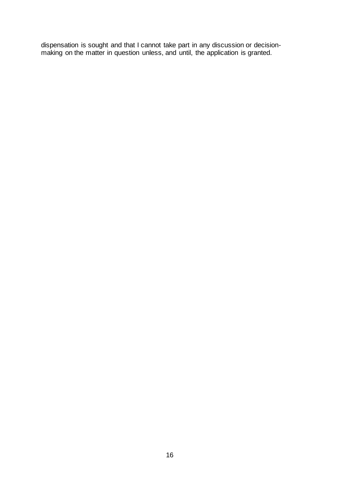dispensation is sought and that I cannot take part in any discussion or decisionmaking on the matter in question unless, and until, the application is granted.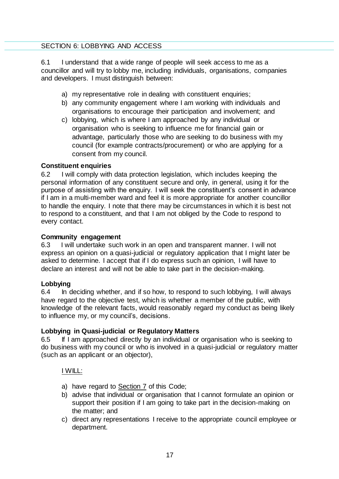### <span id="page-16-0"></span>SECTION 6: LOBBYING AND ACCESS

6.1 I understand that a wide range of people will seek access to me as a councillor and will try to lobby me, including individuals, organisations, companies and developers. I must distinguish between:

- a) my representative role in dealing with constituent enquiries;
- b) any community engagement where I am working with individuals and organisations to encourage their participation and involvement; and
- c) lobbying, which is where I am approached by any individual or organisation who is seeking to influence me for financial gain or advantage, particularly those who are seeking to do business with my council (for example contracts/procurement) or who are applying for a consent from my council.

#### <span id="page-16-1"></span>**Constituent enquiries**

6.2 I will comply with data protection legislation, which includes keeping the personal information of any constituent secure and only, in general, using it for the purpose of assisting with the enquiry. I will seek the constituent's consent in advance if I am in a multi-member ward and feel it is more appropriate for another councillor to handle the enquiry. I note that there may be circumstances in which it is best not to respond to a constituent, and that I am not obliged by the Code to respond to every contact.

#### <span id="page-16-2"></span>**Community engagement**

6.3 I will undertake such work in an open and transparent manner. I will not express an opinion on a quasi-judicial or regulatory application that I might later be asked to determine. I accept that if I do express such an opinion, I will have to declare an interest and will not be able to take part in the decision-making.

#### <span id="page-16-3"></span>**Lobbying**

6.4 In deciding whether, and if so how, to respond to such lobbying, I will always have regard to the objective test, which is whether a member of the public, with knowledge of the relevant facts, would reasonably regard my conduct as being likely to influence my, or my council's, decisions.

# <span id="page-16-4"></span>**Lobbying in Quasi-judicial or Regulatory Matters**

6.5 If I am approached directly by an individual or organisation who is seeking to do business with my council or who is involved in a quasi-judicial or regulatory matter (such as an applicant or an objector),

#### I WILL:

- a) have regard to [Section 7](#page-18-0) of this Code;
- b) advise that individual or organisation that I cannot formulate an opinion or support their position if I am going to take part in the decision-making on the matter; and
- c) direct any representations I receive to the appropriate council employee or department.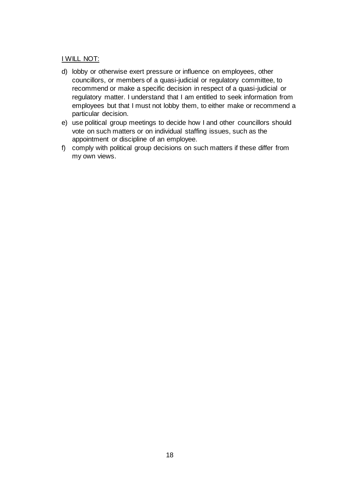#### I WILL NOT:

- d) lobby or otherwise exert pressure or influence on employees, other councillors, or members of a quasi-judicial or regulatory committee, to recommend or make a specific decision in respect of a quasi-judicial or regulatory matter. I understand that I am entitled to seek information from employees but that I must not lobby them, to either make or recommend a particular decision.
- e) use political group meetings to decide how I and other councillors should vote on such matters or on individual staffing issues, such as the appointment or discipline of an employee.
- f) comply with political group decisions on such matters if these differ from my own views.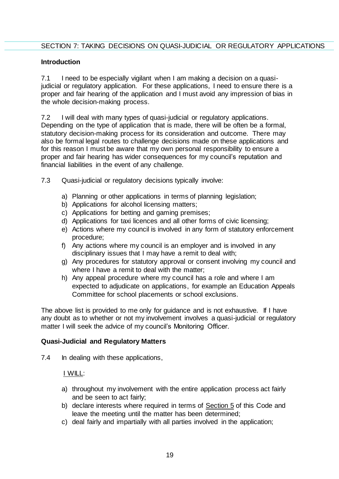#### <span id="page-18-1"></span><span id="page-18-0"></span>**Introduction**

7.1 I need to be especially vigilant when I am making a decision on a quasijudicial or regulatory application. For these applications, I need to ensure there is a proper and fair hearing of the application and I must avoid any impression of bias in the whole decision-making process.

7.2 I will deal with many types of quasi-judicial or regulatory applications. Depending on the type of application that is made, there will be often be a formal, statutory decision-making process for its consideration and outcome. There may also be formal legal routes to challenge decisions made on these applications and for this reason I must be aware that my own personal responsibility to ensure a proper and fair hearing has wider consequences for my council's reputation and financial liabilities in the event of any challenge.

- 7.3 Quasi-judicial or regulatory decisions typically involve:
	- a) Planning or other applications in terms of planning legislation;
	- b) Applications for alcohol licensing matters;
	- c) Applications for betting and gaming premises;
	- d) Applications for taxi licences and all other forms of civic licensing;
	- e) Actions where my council is involved in any form of statutory enforcement procedure;
	- f) Any actions where my council is an employer and is involved in any disciplinary issues that I may have a remit to deal with;
	- g) Any procedures for statutory approval or consent involving my council and where I have a remit to deal with the matter;
	- h) Any appeal procedure where my council has a role and where I am expected to adjudicate on applications, for example an Education Appeals Committee for school placements or school exclusions.

The above list is provided to me only for guidance and is not exhaustive. If I have any doubt as to whether or not my involvement involves a quasi-judicial or regulatory matter I will seek the advice of my council's Monitoring Officer.

#### <span id="page-18-2"></span>**Quasi-Judicial and Regulatory Matters**

7.4 In dealing with these applications,

#### I WILL:

- a) throughout my involvement with the entire application process act fairly and be seen to act fairly;
- b) declare interests where required in terms of [Section 5](#page-14-0) of this Code and leave the meeting until the matter has been determined;
- c) deal fairly and impartially with all parties involved in the application;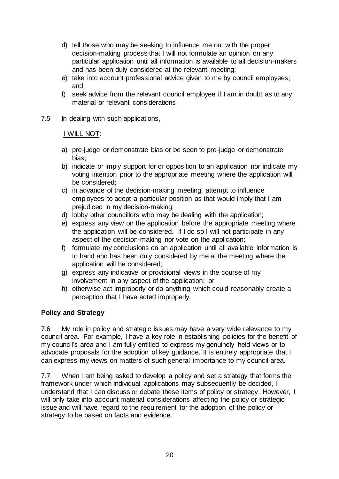- d) tell those who may be seeking to influence me out with the proper decision-making process that I will not formulate an opinion on any particular application until all information is available to all decision-makers and has been duly considered at the relevant meeting;
- e) take into account professional advice given to me by council employees; and
- f) seek advice from the relevant council employee if I am in doubt as to any material or relevant considerations.
- 7.5 In dealing with such applications,

# I WILL NOT:

- a) pre-judge or demonstrate bias or be seen to pre-judge or demonstrate bias;
- b) indicate or imply support for or opposition to an application nor indicate my voting intention prior to the appropriate meeting where the application will be considered;
- c) in advance of the decision-making meeting, attempt to influence employees to adopt a particular position as that would imply that I am prejudiced in my decision-making;
- d) lobby other councillors who may be dealing with the application;
- e) express any view on the application before the appropriate meeting where the application will be considered. If I do so I will not participate in any aspect of the decision-making nor vote on the application;
- f) formulate my conclusions on an application until all available information is to hand and has been duly considered by me at the meeting where the application will be considered;
- g) express any indicative or provisional views in the course of my involvement in any aspect of the application; or
- h) otherwise act improperly or do anything which could reasonably create a perception that I have acted improperly.

# <span id="page-19-0"></span>**Policy and Strategy**

7.6 My role in policy and strategic issues may have a very wide relevance to my council area. For example, I have a key role in establishing policies for the benefit of my council's area and I am fully entitled to express my genuinely held views or to advocate proposals for the adoption of key guidance. It is entirely appropriate that I can express my views on matters of such general importance to my council area.

7.7 When I am being asked to develop a policy and set a strategy that forms the framework under which individual applications may subsequently be decided, I understand that I can discuss or debate these items of policy or strategy. However, I will only take into account material considerations affecting the policy or strategic issue and will have regard to the requirement for the adoption of the policy or strategy to be based on facts and evidence.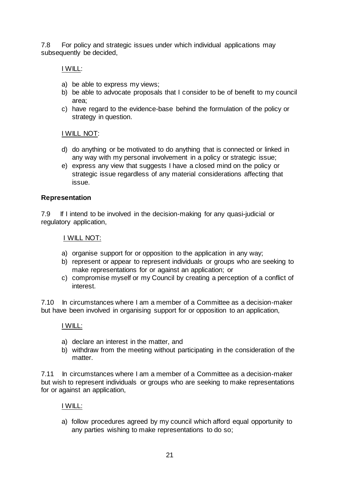7.8 For policy and strategic issues under which individual applications may subsequently be decided,

I WILL:

- a) be able to express my views;
- b) be able to advocate proposals that I consider to be of benefit to my council area;
- c) have regard to the evidence-base behind the formulation of the policy or strategy in question.

# I WILL NOT:

- d) do anything or be motivated to do anything that is connected or linked in any way with my personal involvement in a policy or strategic issue;
- e) express any view that suggests I have a closed mind on the policy or strategic issue regardless of any material considerations affecting that issue.

#### <span id="page-20-0"></span>**Representation**

7.9 If I intend to be involved in the decision-making for any quasi-judicial or regulatory application,

I WILL NOT:

- a) organise support for or opposition to the application in any way;
- b) represent or appear to represent individuals or groups who are seeking to make representations for or against an application; or
- c) compromise myself or my Council by creating a perception of a conflict of interest.

7.10 In circumstances where I am a member of a Committee as a decision-maker but have been involved in organising support for or opposition to an application,

#### I WILL:

- a) declare an interest in the matter, and
- b) withdraw from the meeting without participating in the consideration of the matter.

7.11 In circumstances where I am a member of a Committee as a decision-maker but wish to represent individuals or groups who are seeking to make representations for or against an application,

#### I WILL:

a) follow procedures agreed by my council which afford equal opportunity to any parties wishing to make representations to do so;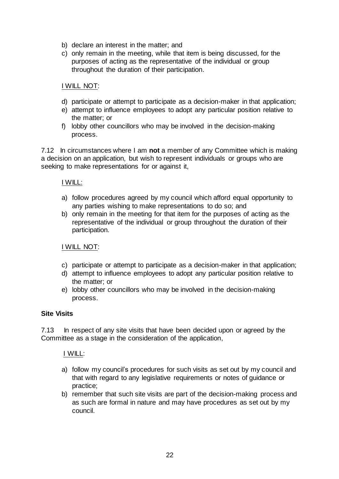- b) declare an interest in the matter; and
- c) only remain in the meeting, while that item is being discussed, for the purposes of acting as the representative of the individual or group throughout the duration of their participation.

# I WILL NOT:

- d) participate or attempt to participate as a decision-maker in that application;
- e) attempt to influence employees to adopt any particular position relative to the matter; or
- f) lobby other councillors who may be involved in the decision-making process.

7.12 In circumstances where I am **not** a member of any Committee which is making a decision on an application, but wish to represent individuals or groups who are seeking to make representations for or against it,

#### I WILL:

- a) follow procedures agreed by my council which afford equal opportunity to any parties wishing to make representations to do so; and
- b) only remain in the meeting for that item for the purposes of acting as the representative of the individual or group throughout the duration of their participation.

#### I WILL NOT:

- c) participate or attempt to participate as a decision-maker in that application;
- d) attempt to influence employees to adopt any particular position relative to the matter; or
- e) lobby other councillors who may be involved in the decision-making process.

#### <span id="page-21-0"></span>**Site Visits**

7.13 In respect of any site visits that have been decided upon or agreed by the Committee as a stage in the consideration of the application,

#### I WILL:

- a) follow my council's procedures for such visits as set out by my council and that with regard to any legislative requirements or notes of guidance or practice;
- b) remember that such site visits are part of the decision-making process and as such are formal in nature and may have procedures as set out by my council.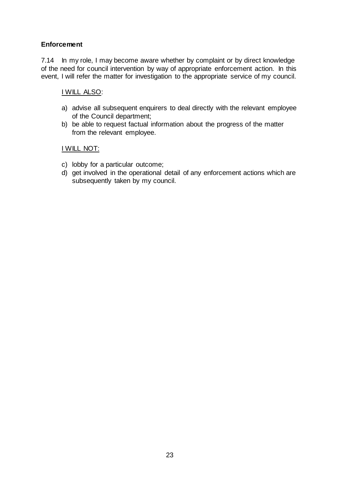# <span id="page-22-0"></span>**Enforcement**

7.14 In my role, I may become aware whether by complaint or by direct knowledge of the need for council intervention by way of appropriate enforcement action. In this event, I will refer the matter for investigation to the appropriate service of my council.

# I WILL ALSO:

- a) advise all subsequent enquirers to deal directly with the relevant employee of the Council department;
- b) be able to request factual information about the progress of the matter from the relevant employee.

# I WILL NOT:

- c) lobby for a particular outcome;
- d) get involved in the operational detail of any enforcement actions which are subsequently taken by my council.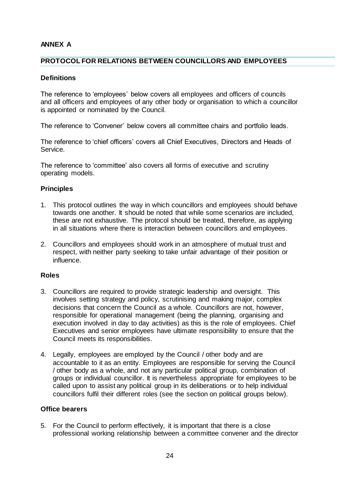# **ANNEX A**

#### <span id="page-23-0"></span>**PROTOCOL FOR RELATIONS BETWEEN COUNCILLORS AND EMPLOYEES**

#### **Definitions**

The reference to 'employees' below covers all employees and officers of councils and all officers and employees of any other body or organisation to which a councillor is appointed or nominated by the Council.

The reference to 'Convener' below covers all committee chairs and portfolio leads.

The reference to 'chief officers' covers all Chief Executives, Directors and Heads of Service.

The reference to 'committee' also covers all forms of executive and scrutiny operating models.

#### **Principles**

- 1. This protocol outlines the way in which councillors and employees should behave towards one another. It should be noted that while some scenarios are included, these are not exhaustive. The protocol should be treated, therefore, as applying in all situations where there is interaction between councillors and employees.
- 2. Councillors and employees should work in an atmosphere of mutual trust and respect, with neither party seeking to take unfair advantage of their position or influence.

#### **Roles**

- 3. Councillors are required to provide strategic leadership and oversight. This involves setting strategy and policy, scrutinising and making major, complex decisions that concern the Council as a whole. Councillors are not, however, responsible for operational management (being the planning, organising and execution involved in day to day activities) as this is the role of employees. Chief Executives and senior employees have ultimate responsibility to ensure that the Council meets its responsibilities.
- 4. Legally, employees are employed by the Council / other body and are accountable to it as an entity. Employees are responsible for serving the Council / other body as a whole, and not any particular political group, combination of groups or individual councillor. It is nevertheless appropriate for employees to be called upon to assist any political group in its deliberations or to help individual councillors fulfil their different roles (see the section on political groups below).

#### **Office bearers**

5. For the Council to perform effectively, it is important that there is a close professional working relationship between a committee convener and the director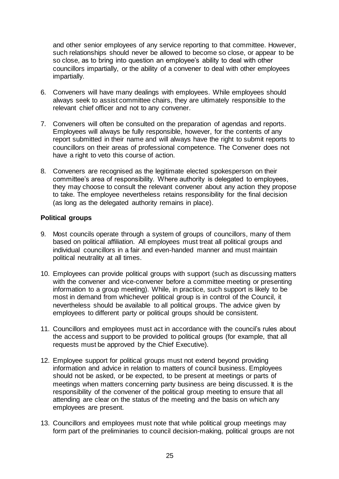and other senior employees of any service reporting to that committee. However, such relationships should never be allowed to become so close, or appear to be so close, as to bring into question an employee's ability to deal with other councillors impartially, or the ability of a convener to deal with other employees impartially.

- 6. Conveners will have many dealings with employees. While employees should always seek to assist committee chairs, they are ultimately responsible to the relevant chief officer and not to any convener.
- 7. Conveners will often be consulted on the preparation of agendas and reports. Employees will always be fully responsible, however, for the contents of any report submitted in their name and will always have the right to submit reports to councillors on their areas of professional competence. The Convener does not have a right to veto this course of action.
- 8. Conveners are recognised as the legitimate elected spokesperson on their committee's area of responsibility. Where authority is delegated to employees, they may choose to consult the relevant convener about any action they propose to take. The employee nevertheless retains responsibility for the final decision (as long as the delegated authority remains in place).

#### **Political groups**

- 9. Most councils operate through a system of groups of councillors, many of them based on political affiliation. All employees must treat all political groups and individual councillors in a fair and even-handed manner and must maintain political neutrality at all times.
- 10. Employees can provide political groups with support (such as discussing matters with the convener and vice-convener before a committee meeting or presenting information to a group meeting). While, in practice, such support is likely to be most in demand from whichever political group is in control of the Council, it nevertheless should be available to all political groups. The advice given by employees to different party or political groups should be consistent.
- 11. Councillors and employees must act in accordance with the council's rules about the access and support to be provided to political groups (for example, that all requests must be approved by the Chief Executive).
- 12. Employee support for political groups must not extend beyond providing information and advice in relation to matters of council business. Employees should not be asked, or be expected, to be present at meetings or parts of meetings when matters concerning party business are being discussed. It is the responsibility of the convener of the political group meeting to ensure that all attending are clear on the status of the meeting and the basis on which any employees are present.
- 13. Councillors and employees must note that while political group meetings may form part of the preliminaries to council decision-making, political groups are not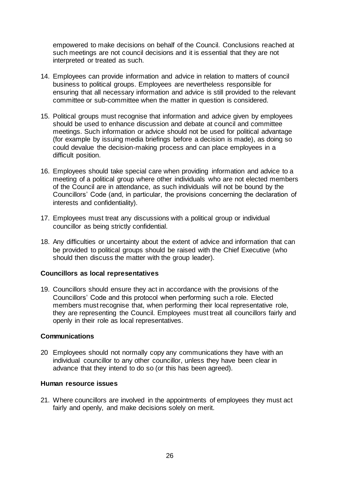empowered to make decisions on behalf of the Council. Conclusions reached at such meetings are not council decisions and it is essential that they are not interpreted or treated as such.

- 14. Employees can provide information and advice in relation to matters of council business to political groups. Employees are nevertheless responsible for ensuring that all necessary information and advice is still provided to the relevant committee or sub-committee when the matter in question is considered.
- 15. Political groups must recognise that information and advice given by employees should be used to enhance discussion and debate at council and committee meetings. Such information or advice should not be used for political advantage (for example by issuing media briefings before a decision is made), as doing so could devalue the decision-making process and can place employees in a difficult position.
- 16. Employees should take special care when providing information and advice to a meeting of a political group where other individuals who are not elected members of the Council are in attendance, as such individuals will not be bound by the Councillors' Code (and, in particular, the provisions concerning the declaration of interests and confidentiality).
- 17. Employees must treat any discussions with a political group or individual councillor as being strictly confidential.
- 18. Any difficulties or uncertainty about the extent of advice and information that can be provided to political groups should be raised with the Chief Executive (who should then discuss the matter with the group leader).

#### **Councillors as local representatives**

19. Councillors should ensure they act in accordance with the provisions of the Councillors' Code and this protocol when performing such a role. Elected members must recognise that, when performing their local representative role, they are representing the Council. Employees must treat all councillors fairly and openly in their role as local representatives.

#### **Communications**

20 Employees should not normally copy any communications they have with an individual councillor to any other councillor, unless they have been clear in advance that they intend to do so (or this has been agreed).

#### **Human resource issues**

21. Where councillors are involved in the appointments of employees they must act fairly and openly, and make decisions solely on merit.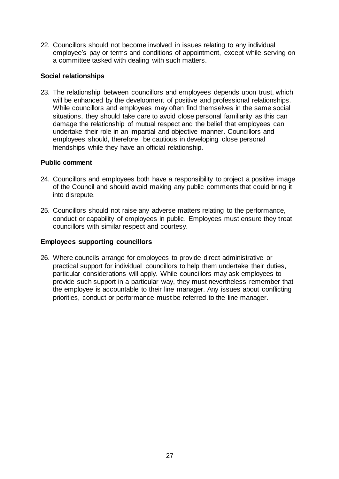22. Councillors should not become involved in issues relating to any individual employee's pay or terms and conditions of appointment, except while serving on a committee tasked with dealing with such matters.

#### **Social relationships**

23. The relationship between councillors and employees depends upon trust, which will be enhanced by the development of positive and professional relationships. While councillors and employees may often find themselves in the same social situations, they should take care to avoid close personal familiarity as this can damage the relationship of mutual respect and the belief that employees can undertake their role in an impartial and objective manner. Councillors and employees should, therefore, be cautious in developing close personal friendships while they have an official relationship.

#### **Public comment**

- 24. Councillors and employees both have a responsibility to project a positive image of the Council and should avoid making any public comments that could bring it into disrepute.
- 25. Councillors should not raise any adverse matters relating to the performance, conduct or capability of employees in public. Employees must ensure they treat councillors with similar respect and courtesy.

#### **Employees supporting councillors**

26. Where councils arrange for employees to provide direct administrative or practical support for individual councillors to help them undertake their duties, particular considerations will apply. While councillors may ask employees to provide such support in a particular way, they must nevertheless remember that the employee is accountable to their line manager. Any issues about conflicting priorities, conduct or performance must be referred to the line manager.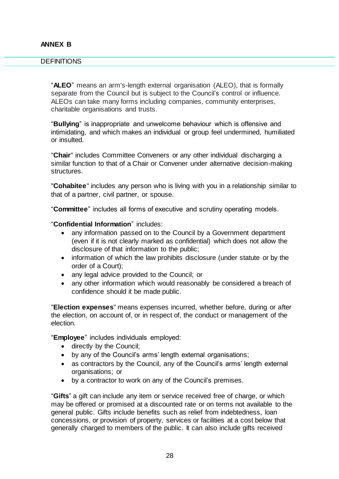#### <span id="page-27-0"></span>**DEFINITIONS**

"**ALEO**" means an arm's-length external organisation (ALEO), that is formally separate from the Council but is subject to the Council's control or influence. ALEOs can take many forms including companies, community enterprises, charitable organisations and trusts.

"**Bullying**" is inappropriate and unwelcome behaviour which is offensive and intimidating, and which makes an individual or group feel undermined, humiliated or insulted.

"**Chair**" includes Committee Conveners or any other individual discharging a similar function to that of a Chair or Convener under alternative decision-making structures.

"**Cohabitee**" includes any person who is living with you in a relationship similar to that of a partner, civil partner, or spouse.

"**Committee**" includes all forms of executive and scrutiny operating models.

#### "**Confidential Information**" includes:

- any information passed on to the Council by a Government department (even if it is not clearly marked as confidential) which does not allow the disclosure of that information to the public;
- information of which the law prohibits disclosure (under statute or by the order of a Court);
- any legal advice provided to the Council; or
- any other information which would reasonably be considered a breach of confidence should it be made public.

"**Election expenses**" means expenses incurred, whether before, during or after the election, on account of, or in respect of, the conduct or management of the election.

"**Employee**" includes individuals employed:

- directly by the Council;
- by any of the Council's arms' length external organisations;
- as contractors by the Council, any of the Council's arms' length external organisations; or
- by a contractor to work on any of the Council's premises.

"**Gifts**" a gift can include any item or service received free of charge, or which may be offered or promised at a discounted rate or on terms not available to the general public. Gifts include benefits such as relief from indebtedness, loan concessions, or provision of property, services or facilities at a cost below that generally charged to members of the public. It can also include gifts received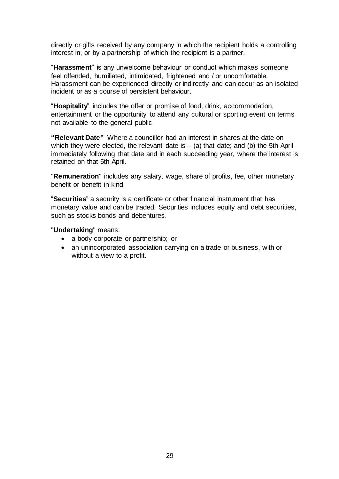directly or gifts received by any company in which the recipient holds a controlling interest in, or by a partnership of which the recipient is a partner.

"**Harassment**" is any unwelcome behaviour or conduct which makes someone feel offended, humiliated, intimidated, frightened and / or uncomfortable. Harassment can be experienced directly or indirectly and can occur as an isolated incident or as a course of persistent behaviour.

"**Hospitality**" includes the offer or promise of food, drink, accommodation, entertainment or the opportunity to attend any cultural or sporting event on terms not available to the general public.

**"Relevant Date"** Where a councillor had an interest in shares at the date on which they were elected, the relevant date is  $-$  (a) that date; and (b) the 5th April immediately following that date and in each succeeding year, where the interest is retained on that 5th April.

"**Remuneration**" includes any salary, wage, share of profits, fee, other monetary benefit or benefit in kind.

"**Securities**" a security is a certificate or other financial instrument that has monetary value and can be traded. Securities includes equity and debt securities, such as stocks bonds and debentures.

"**Undertaking**" means:

- a body corporate or partnership; or
- an unincorporated association carrying on a trade or business, with or without a view to a profit.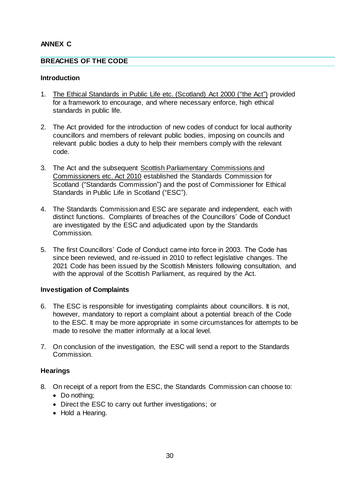# **ANNEX C**

#### <span id="page-29-0"></span>**BREACHES OF THE CODE**

#### **Introduction**

- 1. [The Ethical Standards in Public Life etc. \(Scotland\) Act 2000 \("the Act"\)](https://www.legislation.gov.uk/asp/2000/7/contents) provided for a framework to encourage, and where necessary enforce, high ethical standards in public life.
- 2. The Act provided for the introduction of new codes of conduct for local authority councillors and members of relevant public bodies, imposing on councils and relevant public bodies a duty to help their members comply with the relevant code.
- 3. The Act and the subsequent [Scottish Parliamentary Commissions and](https://www.legislation.gov.uk/asp/2010/11/contents)  [Commissioners etc. Act 2010](https://www.legislation.gov.uk/asp/2010/11/contents) established the Standards Commission for Scotland ("Standards Commission") and the post of Commissioner for Ethical Standards in Public Life in Scotland ("ESC").
- 4. The Standards Commission and ESC are separate and independent, each with distinct functions. Complaints of breaches of the Councillors' Code of Conduct are investigated by the ESC and adjudicated upon by the Standards Commission.
- 5. The first Councillors' Code of Conduct came into force in 2003. The Code has since been reviewed, and re-issued in 2010 to reflect legislative changes. The 2021 Code has been issued by the Scottish Ministers following consultation, and with the approval of the Scottish Parliament, as required by the Act.

#### **Investigation of Complaints**

- 6. The ESC is responsible for investigating complaints about councillors. It is not, however, mandatory to report a complaint about a potential breach of the Code to the ESC. It may be more appropriate in some circumstances for attempts to be made to resolve the matter informally at a local level.
- 7. On conclusion of the investigation, the ESC will send a report to the Standards Commission.

#### **Hearings**

- 8. On receipt of a report from the ESC, the Standards Commission can choose to:
	- Do nothing:
	- Direct the ESC to carry out further investigations; or
	- Hold a Hearing.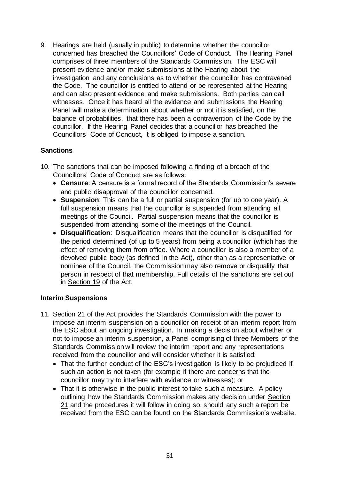9. Hearings are held (usually in public) to determine whether the councillor concerned has breached the Councillors' Code of Conduct. The Hearing Panel comprises of three members of the Standards Commission. The ESC will present evidence and/or make submissions at the Hearing about the investigation and any conclusions as to whether the councillor has contravened the Code. The councillor is entitled to attend or be represented at the Hearing and can also present evidence and make submissions. Both parties can call witnesses. Once it has heard all the evidence and submissions, the Hearing Panel will make a determination about whether or not it is satisfied, on the balance of probabilities, that there has been a contravention of the Code by the councillor. If the Hearing Panel decides that a councillor has breached the Councillors' Code of Conduct, it is obliged to impose a sanction.

# **Sanctions**

- 10. The sanctions that can be imposed following a finding of a breach of the Councillors' Code of Conduct are as follows:
	- **Censure**: A censure is a formal record of the Standards Commission's severe and public disapproval of the councillor concerned.
	- **Suspension**: This can be a full or partial suspension (for up to one year). A full suspension means that the councillor is suspended from attending all meetings of the Council. Partial suspension means that the councillor is suspended from attending some of the meetings of the Council.
	- **Disqualification**: Disqualification means that the councillor is disqualified for the period determined (of up to 5 years) from being a councillor (which has the effect of removing them from office. Where a councillor is also a member of a devolved public body (as defined in the Act), other than as a representative or nominee of the Council, the Commission may also remove or disqualify that person in respect of that membership. Full details of the sanctions are set out in [Section 19](https://www.legislation.gov.uk/asp/2000/7/section/19) of the Act.

# **Interim Suspensions**

- 11. [Section 21](https://www.legislation.gov.uk/asp/2000/7/section/21) of the Act provides the Standards Commission with the power to impose an interim suspension on a councillor on receipt of an interim report from the ESC about an ongoing investigation. In making a decision about whether or not to impose an interim suspension, a Panel comprising of three Members of the Standards Commission will review the interim report and any representations received from the councillor and will consider whether it is satisfied:
	- That the further conduct of the ESC's investigation is likely to be prejudiced if such an action is not taken (for example if there are concerns that the councillor may try to interfere with evidence or witnesses); or
	- That it is otherwise in the public interest to take such a measure. A policy outlining how the Standards Commission makes any decision under [Section](https://www.legislation.gov.uk/asp/2000/7/section/21)  [21](https://www.legislation.gov.uk/asp/2000/7/section/21) and the procedures it will follow in doing so, should any such a report be received from the ESC can be found on the Standards Commission's website.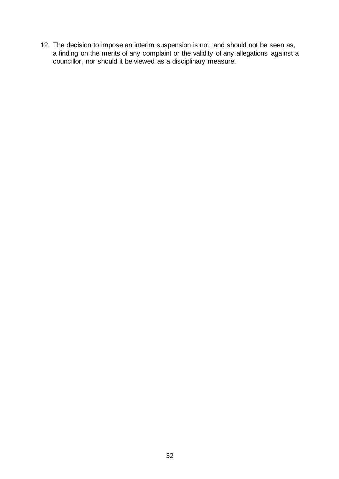12. The decision to impose an interim suspension is not, and should not be seen as, a finding on the merits of any complaint or the validity of any allegations against a councillor, nor should it be viewed as a disciplinary measure.